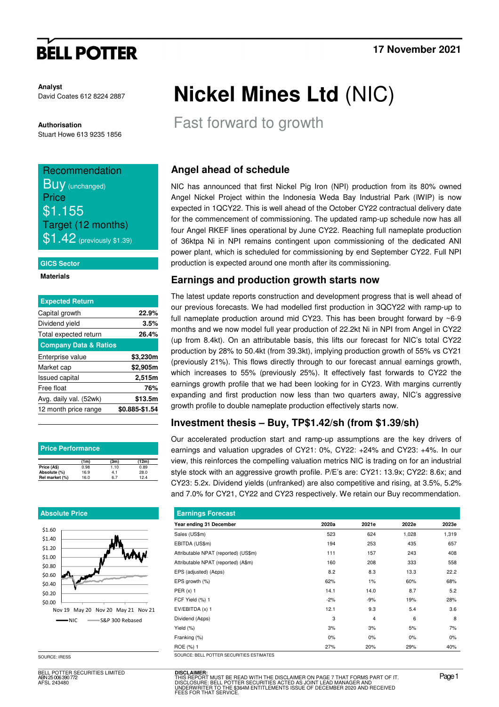# **BELL POTTER**

**Analyst** David Coates 612 8224 2887

#### **Authorisation**

Stuart Howe 613 9235 1856

## Recommendation **BUV** (unchanged) **Price** \$1.155

Target (12 months)  $$1.42$  (previously \$1.39)

#### **GICS Sector**

**Materials** 

| <b>Expected Return</b>           |                |
|----------------------------------|----------------|
| Capital growth                   | 22.9%          |
| Dividend yield                   | 3.5%           |
| Total expected return            | 26.4%          |
| <b>Company Data &amp; Ratios</b> |                |
| Enterprise value                 | \$3,230m       |
| Market cap                       | \$2,905m       |
| <b>Issued capital</b>            | 2,515m         |
| Free float                       | 76%            |
| Avg. daily val. (52wk)           | \$13.5m        |
| 12 month price range             | \$0.885-\$1.54 |

| <b>Price Performance</b> |      |      |       |  |  |  |  |  |
|--------------------------|------|------|-------|--|--|--|--|--|
|                          | (1m) | (3m) | (12m) |  |  |  |  |  |
| Price (A\$)              | 0.98 | 1.10 | 0.89  |  |  |  |  |  |
| Absolute (%)             | 16.9 | 4.1  | 28.0  |  |  |  |  |  |
| Rel market (%)           | 16.0 | 67   | 12.4  |  |  |  |  |  |

#### **Absolute Price**



SOURCE: IRESS

BELL POTTER SECURITIES LIMITED ABN 25 006 390 772 AFSL 243480

# **Nickel Mines Ltd** (NIC)

Fast forward to growth

## **Angel ahead of schedule**

NIC has announced that first Nickel Pig Iron (NPI) production from its 80% owned Angel Nickel Project within the Indonesia Weda Bay Industrial Park (IWIP) is now expected in 1QCY22. This is well ahead of the October CY22 contractual delivery date for the commencement of commissioning. The updated ramp-up schedule now has all four Angel RKEF lines operational by June CY22. Reaching full nameplate production of 36ktpa Ni in NPI remains contingent upon commissioning of the dedicated ANI power plant, which is scheduled for commissioning by end September CY22. Full NPI production is expected around one month after its commissioning.

### **Earnings and production growth starts now**

The latest update reports construction and development progress that is well ahead of our previous forecasts. We had modelled first production in 3QCY22 with ramp-up to full nameplate production around mid CY23. This has been brought forward by  $\sim$ 6-9 months and we now model full year production of 22.2kt Ni in NPI from Angel in CY22 (up from 8.4kt). On an attributable basis, this lifts our forecast for NIC's total CY22 production by 28% to 50.4kt (from 39.3kt), implying production growth of 55% vs CY21 (previously 21%). This flows directly through to our forecast annual earnings growth, which increases to 55% (previously 25%). It effectively fast forwards to CY22 the earnings growth profile that we had been looking for in CY23. With margins currently expanding and first production now less than two quarters away, NIC's aggressive growth profile to double nameplate production effectively starts now.

## **Investment thesis – Buy, TP\$1.42/sh (from \$1.39/sh)**

Our accelerated production start and ramp-up assumptions are the key drivers of earnings and valuation upgrades of CY21: 0%, CY22: +24% and CY23: +4%. In our view, this reinforces the compelling valuation metrics NIC is trading on for an industrial style stock with an aggressive growth profile. P/E's are: CY21: 13.9x; CY22: 8.6x; and CY23: 5.2x. Dividend yields (unfranked) are also competitive and rising, at 3.5%, 5.2% and 7.0% for CY21, CY22 and CY23 respectively. We retain our Buy recommendation.

| <b>Earnings Forecast</b>                 |       |       |       |       |  |  |  |  |
|------------------------------------------|-------|-------|-------|-------|--|--|--|--|
| Year ending 31 December                  | 2020a | 2021e | 2022e | 2023e |  |  |  |  |
| Sales (US\$m)                            | 523   | 624   | 1,028 | 1,319 |  |  |  |  |
| EBITDA (US\$m)                           | 194   | 253   | 435   | 657   |  |  |  |  |
| Attributable NPAT (reported) (US\$m)     | 111   | 157   | 243   | 408   |  |  |  |  |
| Attributable NPAT (reported) (A\$m)      | 160   | 208   | 333   | 558   |  |  |  |  |
| EPS (adjusted) (A¢ps)                    | 8.2   | 8.3   | 13.3  | 22.2  |  |  |  |  |
| EPS growth (%)                           | 62%   | 1%    | 60%   | 68%   |  |  |  |  |
| PER $(x)$ 1                              | 14.1  | 14.0  | 8.7   | 5.2   |  |  |  |  |
| FCF Yield (%) 1                          | $-2%$ | $-9%$ | 19%   | 28%   |  |  |  |  |
| EV/EBITDA (x) 1                          | 12.1  | 9.3   | 5.4   | 3.6   |  |  |  |  |
| Dividend (Acps)                          | 3     | 4     | 6     | 8     |  |  |  |  |
| Yield (%)                                | 3%    | 3%    | 5%    | 7%    |  |  |  |  |
| Franking (%)                             | 0%    | $0\%$ | $0\%$ | $0\%$ |  |  |  |  |
| ROE (%) 1                                | 27%   | 20%   | 29%   | 40%   |  |  |  |  |
| COUDCE- BELL BOTTED CECUDITIES ESTIMATES |       |       |       |       |  |  |  |  |

**DISCLAIMER:** THIS REPORT MUST BE READ WITH THE DISCLAIMER ON PAGE 7 THAT FORMS PART OF IT.<br>DISCLOSURE: BELL POTTER SECURITIES ACTED AS JOINT LEAD MANAGER AND<br>UNDERWRITER TO THE \$364M ENTITLEMENTS ISSUE OF DECEMBER 2020 AND RECEIVED<br>FEE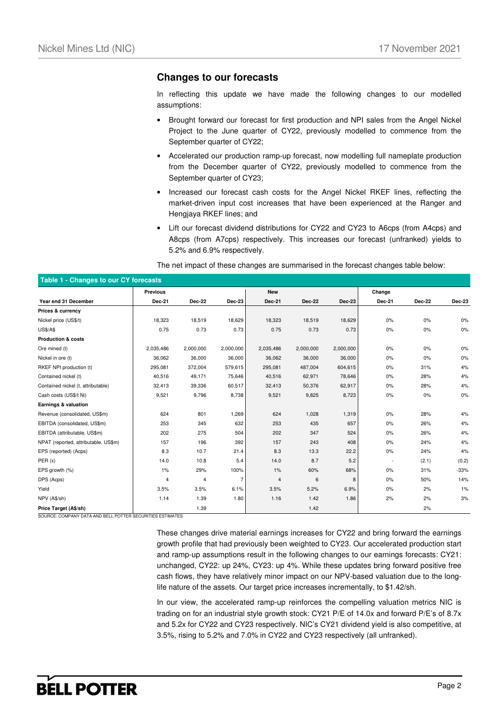### **Changes to our forecasts**

In reflecting this update we have made the following changes to our modelled assumptions:

- Brought forward our forecast for first production and NPI sales from the Angel Nickel Project to the June quarter of CY22, previously modelled to commence from the September quarter of CY22;
- Accelerated our production ramp-up forecast, now modelling full nameplate production from the December quarter of CY22, previously modelled to commence from the September quarter of CY23;
- Increased our forecast cash costs for the Angel Nickel RKEF lines, reflecting the market-driven input cost increases that have been experienced at the Ranger and Hengjaya RKEF lines; and
- Lift our forecast dividend distributions for CY22 and CY23 to A6cps (from A4cps) and A8cps (from A7cps) respectively. This increases our forecast (unfranked) yields to 5.2% and 6.9% respectively.

The net impact of these changes are summarised in the forecast changes table below:

| Table 1 - Changes to our CY forecasts |                 |               |               |            |               |               |        |               |        |
|---------------------------------------|-----------------|---------------|---------------|------------|---------------|---------------|--------|---------------|--------|
|                                       | <b>Previous</b> |               |               | <b>New</b> |               |               | Change |               |        |
| Year end 31 December                  | <b>Dec-21</b>   | <b>Dec-22</b> | <b>Dec-23</b> | Dec-21     | <b>Dec-22</b> | <b>Dec-23</b> | Dec-21 | <b>Dec-22</b> | Dec-23 |
| Prices & currency                     |                 |               |               |            |               |               |        |               |        |
| Nickel price (US\$/t)                 | 18,323          | 18,519        | 18,629        | 18,323     | 18,519        | 18,629        | 0%     | 0%            | $0\%$  |
| <b>US\$/A\$</b>                       | 0.75            | 0.73          | 0.73          | 0.75       | 0.73          | 0.73          | 0%     | 0%            | 0%     |
| <b>Production &amp; costs</b>         |                 |               |               |            |               |               |        |               |        |
| Ore mined (t)                         | 2,035,486       | 2,000,000     | 2,000,000     | 2,035,486  | 2,000,000     | 2,000,000     | 0%     | 0%            | 0%     |
| Nickel in ore (t)                     | 36,062          | 36,000        | 36,000        | 36,062     | 36,000        | 36,000        | 0%     | 0%            | $0\%$  |
| RKEF NPI production (t)               | 295,081         | 372,004       | 579,615       | 295,081    | 487,004       | 604,615       | 0%     | 31%           | 4%     |
| Contained nickel (t)                  | 40,516          | 49,171        | 75,646        | 40,516     | 62,971        | 78,646        | 0%     | 28%           | 4%     |
| Contained nickel (t, attributable)    | 32,413          | 39,336        | 60,517        | 32,413     | 50,376        | 62,917        | 0%     | 28%           | 4%     |
| Cash costs (US\$/t Ni)                | 9,521           | 9,796         | 8,738         | 9,521      | 9,825         | 8,723         | 0%     | 0%            | $0\%$  |
| Earnings & valuation                  |                 |               |               |            |               |               |        |               |        |
| Revenue (consolidated, US\$m)         | 624             | 801           | 1,269         | 624        | 1,028         | 1,319         | 0%     | 28%           | 4%     |
| EBITDA (consolidated, US\$m)          | 253             | 345           | 632           | 253        | 435           | 657           | 0%     | 26%           | 4%     |
| EBITDA (attributable, US\$m)          | 202             | 275           | 504           | 202        | 347           | 524           | 0%     | 26%           | 4%     |
| NPAT (reported, attributable, US\$m)  | 157             | 196           | 392           | 157        | 243           | 408           | 0%     | 24%           | 4%     |
| EPS (reported) (Acps)                 | 8.3             | 10.7          | 21.4          | 8.3        | 13.3          | 22.2          | 0%     | 24%           | 4%     |
| PER(x)                                | 14.0            | 10.8          | 5.4           | 14.0       | 8.7           | 5.2           |        | (2.1)         | (0.2)  |
| EPS growth (%)                        | 1%              | 29%           | 100%          | 1%         | 60%           | 68%           | 0%     | 31%           | $-33%$ |
| DPS (Acps)                            | 4               | 4             | 7             | 4          | 6             | 8             | 0%     | 50%           | 14%    |
| Yield                                 | 3.5%            | 3.5%          | 6.1%          | 3.5%       | 5.2%          | 6.9%          | 0%     | 2%            | 1%     |
| NPV (A\$/sh)                          | 1.14            | 1.39          | 1.80          | 1.16       | 1.42          | 1.86          | 2%     | 2%            | 3%     |
| Price Target (A\$/sh)                 |                 | 1.39          |               |            | 1.42          |               |        | 2%            |        |

SOURCE: COMPANY DATA AND BELL POTTER SECURITIES ESTIMATES

These changes drive material earnings increases for CY22 and bring forward the earnings growth profile that had previously been weighted to CY23. Our accelerated production start and ramp-up assumptions result in the following changes to our earnings forecasts: CY21: unchanged, CY22: up 24%, CY23: up 4%. While these updates bring forward positive free cash flows, they have relatively minor impact on our NPV-based valuation due to the longlife nature of the assets. Our target price increases incrementally, to \$1.42/sh.

In our view, the accelerated ramp-up reinforces the compelling valuation metrics NIC is trading on for an industrial style growth stock: CY21 P/E of 14.0x and forward P/E's of 8.7x and 5.2x for CY22 and CY23 respectively. NIC's CY21 dividend yield is also competitive, at 3.5%, rising to 5.2% and 7.0% in CY22 and CY23 respectively (all unfranked).

# **BELL POTTER**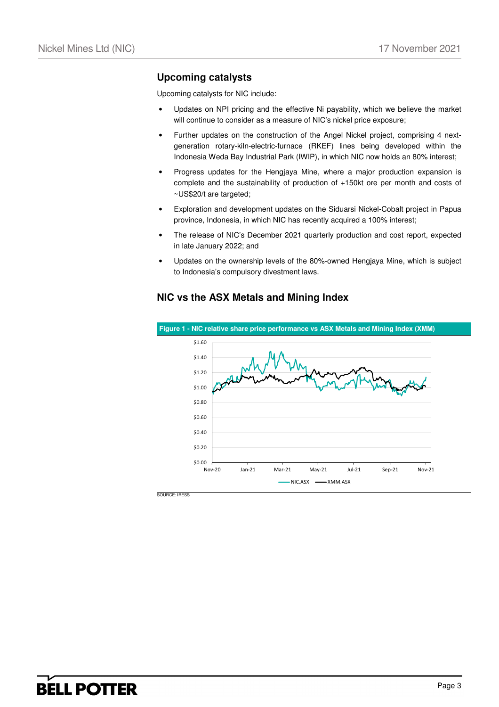### **Upcoming catalysts**

Upcoming catalysts for NIC include:

- Updates on NPI pricing and the effective Ni payability, which we believe the market will continue to consider as a measure of NIC's nickel price exposure;
- Further updates on the construction of the Angel Nickel project, comprising 4 nextgeneration rotary-kiln-electric-furnace (RKEF) lines being developed within the Indonesia Weda Bay Industrial Park (IWIP), in which NIC now holds an 80% interest;
- Progress updates for the Hengjaya Mine, where a major production expansion is complete and the sustainability of production of +150kt ore per month and costs of ~US\$20/t are targeted;
- Exploration and development updates on the Siduarsi Nickel-Cobalt project in Papua province, Indonesia, in which NIC has recently acquired a 100% interest;
- The release of NIC's December 2021 quarterly production and cost report, expected in late January 2022; and
- Updates on the ownership levels of the 80%-owned Hengjaya Mine, which is subject to Indonesia's compulsory divestment laws.

### **NIC vs the ASX Metals and Mining Index**



SOURCE: IRESS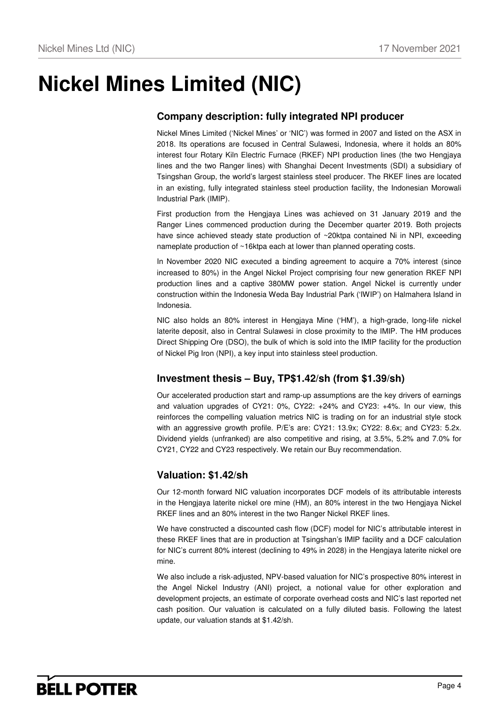# **Nickel Mines Limited (NIC)**

## **Company description: fully integrated NPI producer**

Nickel Mines Limited ('Nickel Mines' or 'NIC') was formed in 2007 and listed on the ASX in 2018. Its operations are focused in Central Sulawesi, Indonesia, where it holds an 80% interest four Rotary Kiln Electric Furnace (RKEF) NPI production lines (the two Hengjaya lines and the two Ranger lines) with Shanghai Decent Investments (SDI) a subsidiary of Tsingshan Group, the world's largest stainless steel producer. The RKEF lines are located in an existing, fully integrated stainless steel production facility, the Indonesian Morowali Industrial Park (IMIP).

First production from the Hengjaya Lines was achieved on 31 January 2019 and the Ranger Lines commenced production during the December quarter 2019. Both projects have since achieved steady state production of ~20ktpa contained Ni in NPI, exceeding nameplate production of ~16ktpa each at lower than planned operating costs.

In November 2020 NIC executed a binding agreement to acquire a 70% interest (since increased to 80%) in the Angel Nickel Project comprising four new generation RKEF NPI production lines and a captive 380MW power station. Angel Nickel is currently under construction within the Indonesia Weda Bay Industrial Park ('IWIP') on Halmahera Island in Indonesia.

NIC also holds an 80% interest in Hengjaya Mine ('HM'), a high-grade, long-life nickel laterite deposit, also in Central Sulawesi in close proximity to the IMIP. The HM produces Direct Shipping Ore (DSO), the bulk of which is sold into the IMIP facility for the production of Nickel Pig Iron (NPI), a key input into stainless steel production.

## **Investment thesis – Buy, TP\$1.42/sh (from \$1.39/sh)**

Our accelerated production start and ramp-up assumptions are the key drivers of earnings and valuation upgrades of CY21: 0%, CY22: +24% and CY23: +4%. In our view, this reinforces the compelling valuation metrics NIC is trading on for an industrial style stock with an aggressive growth profile. P/E's are: CY21: 13.9x; CY22: 8.6x; and CY23: 5.2x. Dividend yields (unfranked) are also competitive and rising, at 3.5%, 5.2% and 7.0% for CY21, CY22 and CY23 respectively. We retain our Buy recommendation.

## **Valuation: \$1.42/sh**

Our 12-month forward NIC valuation incorporates DCF models of its attributable interests in the Hengjaya laterite nickel ore mine (HM), an 80% interest in the two Hengjaya Nickel RKEF lines and an 80% interest in the two Ranger Nickel RKEF lines.

We have constructed a discounted cash flow (DCF) model for NIC's attributable interest in these RKEF lines that are in production at Tsingshan's IMIP facility and a DCF calculation for NIC's current 80% interest (declining to 49% in 2028) in the Hengjaya laterite nickel ore mine.

We also include a risk-adjusted, NPV-based valuation for NIC's prospective 80% interest in the Angel Nickel Industry (ANI) project, a notional value for other exploration and development projects, an estimate of corporate overhead costs and NIC's last reported net cash position. Our valuation is calculated on a fully diluted basis. Following the latest update, our valuation stands at \$1.42/sh.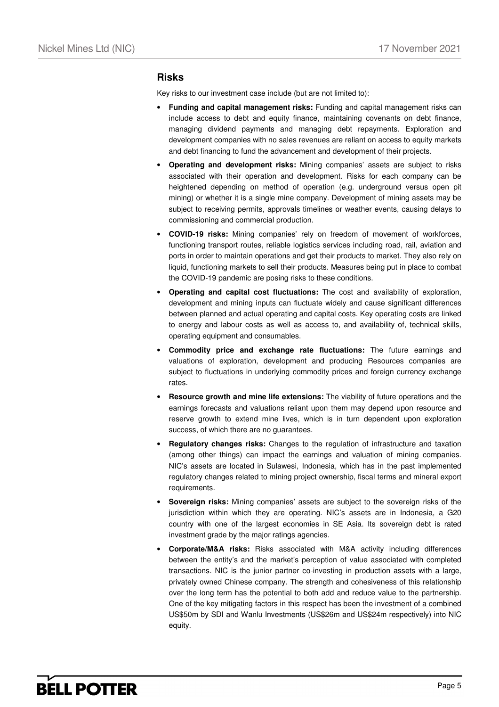#### **Risks**

Key risks to our investment case include (but are not limited to):

- **Funding and capital management risks:** Funding and capital management risks can include access to debt and equity finance, maintaining covenants on debt finance, managing dividend payments and managing debt repayments. Exploration and development companies with no sales revenues are reliant on access to equity markets and debt financing to fund the advancement and development of their projects.
- **Operating and development risks:** Mining companies' assets are subject to risks associated with their operation and development. Risks for each company can be heightened depending on method of operation (e.g. underground versus open pit mining) or whether it is a single mine company. Development of mining assets may be subject to receiving permits, approvals timelines or weather events, causing delays to commissioning and commercial production.
- **COVID-19 risks:** Mining companies' rely on freedom of movement of workforces, functioning transport routes, reliable logistics services including road, rail, aviation and ports in order to maintain operations and get their products to market. They also rely on liquid, functioning markets to sell their products. Measures being put in place to combat the COVID-19 pandemic are posing risks to these conditions.
- **Operating and capital cost fluctuations:** The cost and availability of exploration, development and mining inputs can fluctuate widely and cause significant differences between planned and actual operating and capital costs. Key operating costs are linked to energy and labour costs as well as access to, and availability of, technical skills, operating equipment and consumables.
- **Commodity price and exchange rate fluctuations:** The future earnings and valuations of exploration, development and producing Resources companies are subject to fluctuations in underlying commodity prices and foreign currency exchange rates.
- **Resource growth and mine life extensions:** The viability of future operations and the earnings forecasts and valuations reliant upon them may depend upon resource and reserve growth to extend mine lives, which is in turn dependent upon exploration success, of which there are no guarantees.
- **Regulatory changes risks:** Changes to the regulation of infrastructure and taxation (among other things) can impact the earnings and valuation of mining companies. NIC's assets are located in Sulawesi, Indonesia, which has in the past implemented regulatory changes related to mining project ownership, fiscal terms and mineral export requirements.
- **Sovereign risks:** Mining companies' assets are subject to the sovereign risks of the jurisdiction within which they are operating. NIC's assets are in Indonesia, a G20 country with one of the largest economies in SE Asia. Its sovereign debt is rated investment grade by the major ratings agencies.
- **Corporate/M&A risks:** Risks associated with M&A activity including differences between the entity's and the market's perception of value associated with completed transactions. NIC is the junior partner co-investing in production assets with a large, privately owned Chinese company. The strength and cohesiveness of this relationship over the long term has the potential to both add and reduce value to the partnership. One of the key mitigating factors in this respect has been the investment of a combined US\$50m by SDI and Wanlu Investments (US\$26m and US\$24m respectively) into NIC equity.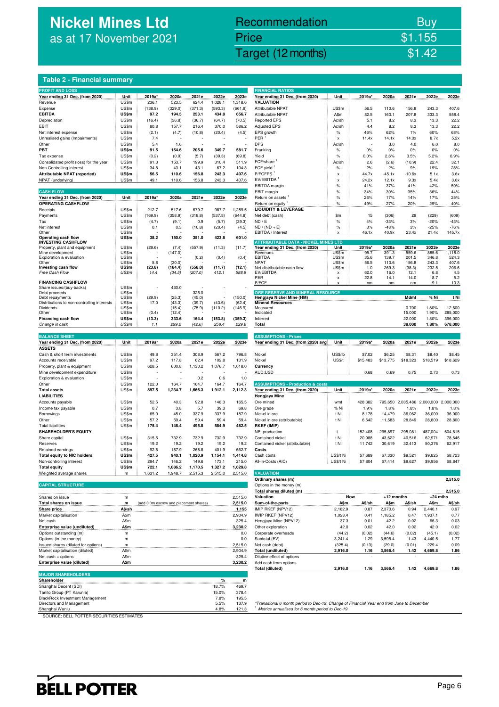# **Nickel Mines Ltd** as at 17 November 2021

## Nickel Mines Ltd (Nickel Mines Ltd (Nickel Mines Ltd (Nickel Mines Ltd (Nickel Mines Ltd Control) \$1.42 Recommendation Buy Price \$1.155

#### **Table 2 - Financial summary**

| <b>PROFIT AND LOSS</b><br>Year ending 31 Dec. (from 2020)              | Unit           | 2019a*                                 | 2020a            | 2021e            | 2022e             | 2023e               | <b>FINANCIAL RATIOS</b><br>Year ending 31 Dec. (from 2020)                                 | Unit                           | 2019a*         | 2020a             | 2021e                       | 2022e            | 2023e        |
|------------------------------------------------------------------------|----------------|----------------------------------------|------------------|------------------|-------------------|---------------------|--------------------------------------------------------------------------------------------|--------------------------------|----------------|-------------------|-----------------------------|------------------|--------------|
| Revenue                                                                | US\$m          | 236.1                                  | 523.5            | 624.4            | 1,028.1           | 1,318.6             | <b>VALUATION</b>                                                                           |                                |                |                   |                             |                  |              |
| Expense                                                                | US\$m          | (138.9)                                | (329.0)          | (371.3)          | (593.3)           | (661.9)             | Attributable NPAT                                                                          | US\$m                          | 56.5           | 110.6             | 156.8                       | 243.3            | 407.6        |
| <b>EBITDA</b>                                                          | <b>US\$m</b>   | 97.2                                   | 194.5            | 253.1            | 434.8             | 656.7               | <b>Attributable NPAT</b>                                                                   | A\$m                           | 82.5           | 160.1             | 207.8                       | 333.3            | 558.4        |
| Depreciation                                                           | US\$m          | (16.4)                                 | (36.8)           | (36.7)           | (64.7)            | (70.5)              | <b>Reported EPS</b>                                                                        | Ac/sh                          | 5.1            | 8.2               | 8.3                         | 13.3             | 22.2         |
| EBIT                                                                   | US\$m          | 80.8                                   | 157.7            | 216.4            | 370.0             | 586.2               | <b>Adjusted EPS</b>                                                                        | Ac/sh                          | 4.4            | 8.2               | 8.3                         | 13.3             | 22.2         |
| Net interest expense                                                   | US\$m          | (2.1)                                  | (4.7)            | (10.8)           | (20.4)            | (4.5)               | EPS growth                                                                                 | $\%$                           | 46%            | 62%               | 1%                          | 60%              | 68%          |
| Unrealised gains (Impairments)                                         | US\$m          | 7.4                                    |                  |                  |                   |                     | PER                                                                                        | $\boldsymbol{\mathsf{x}}$      | 11.4x          | 14.1x             | 14.0x                       | 8.7x             | 5.2x         |
| Other                                                                  | US\$m          | 5.4                                    | 1.6              |                  |                   |                     | <b>DPS</b>                                                                                 | Ac/sh                          |                | 3.0               | 4.0                         | 6.0              | 8.0          |
| PBT                                                                    | US\$m          | 91.5                                   | 154.6            | 205.6            | 349.7             | 581.7               | Franking                                                                                   | $\%$                           | 0%             | $0\%$             | 0%                          | 0%               | 0%           |
| Tax expense                                                            | US\$m          | (0.2)                                  | (0.9)            | (5.7)            | (39.3)            | (69.8)              | Yield                                                                                      | $\%$                           | 0.0%           | 2.6%              | 3.5%                        | 5.2%             | 6.9%         |
| Consolidated profit (loss) for the year                                | US\$m          | 91.3                                   | 153.7            | 199.9            | 310.4             | 511.9               | FCF/share                                                                                  | Ac/sh                          | 2.6            | (2.6)             | (10.9)                      | 22.4             | 32.1         |
| Non-Controlling Interest                                               | US\$m          | 34.8                                   | 43.1             | 43.1             | 67.2              | 104.3               | FCF yield                                                                                  | $\%$                           | 2%             | $-2%$             | $-9%$                       | 19%              | 28%          |
| Attributable NPAT (reported)                                           | US\$m          | 56.5                                   | 110.6            | 156.8            | 243.3             | 407.6               | P/FCFPS <sup>1</sup><br>EV/EBITDA <sup>1</sup>                                             | x                              | 44.7x          | $-45.1x$          | $-10.6x$                    | 5.1x             | 3.6x         |
| NPAT (underlying)                                                      | US\$m          | 49.1                                   | 110.6            | 156.8            | 243.3             | 407.6               | EBITDA margin                                                                              | $\boldsymbol{\mathsf{x}}$      | 24.2x          | 12.1x             | 9.3x                        | 5.4x             | 3.6x<br>50%  |
| <b>CASH FLOW</b>                                                       |                |                                        |                  |                  |                   |                     | EBIT margin                                                                                | %<br>$\%$                      | 41%<br>34%     | 37%<br>30%        | 41%<br>35%                  | 42%<br>36%       | 44%          |
| Year ending 31 Dec. (from 2020)                                        | Unit           | 2019a*                                 | 2020a            | 2021e            | 2022e             | 2023e               | Return on assets                                                                           | $\%$                           | 26%            | 17%               | 14%                         | 17%              | 25%          |
| <b>OPERATING CASHFLOW</b>                                              |                |                                        |                  |                  |                   |                     | Return on equity                                                                           | $\%$                           | 49%            | 27%               | 20%                         | 29%              | 40%          |
| Receipts                                                               | US\$m          | 212.7                                  | 517.6            | 679.7            | 987.7             | 1,289.5             | <b>LIQUIDITY &amp; LEVERAGE</b>                                                            |                                |                |                   |                             |                  |              |
| Payments                                                               | US\$m          | (169.9)                                | (358.9)          | (318.8)          | (537.8)           | (644.8)             | Net debt (cash)                                                                            | \$m                            | 15             | (306)             | 29                          | (229)            | (609)        |
| Tax                                                                    | US\$m          | (4.7)                                  | (9.1)            | 0.9              | (5.7)             | (39.3)              | ND / E                                                                                     | $\%$                           | 4%             | $-33%$            | 3%                          | $-20%$           | $-43%$       |
| Net interest                                                           | US\$m          | 0.1                                    | 0.3              | (10.8)           | (20.4)            | (4.5)               | $ND / (ND + E)$                                                                            | %                              | 3%             | $-48%$            | 3%                          | $-25%$           | $-76%$       |
| Other                                                                  | US\$m          |                                        |                  |                  |                   |                     | EBITDA / Interest                                                                          | x                              | 46.1x          | 40.9x             | 23.4x                       | 21.4x            | 145.7x       |
| Operating cash flow                                                    | US\$m          | 38.2                                   | 150.0            | 351.0            | 423.8             | 601.0               |                                                                                            |                                |                |                   |                             |                  |              |
| <b>INVESTING CASHFLOW</b>                                              | US\$m          |                                        |                  |                  |                   |                     | <b>ATTRIBUTABLE DATA - NICKEL MINES LTD</b><br>Year ending 31 Dec. (from 2020)             | Unit                           | 2019a*         | 2020a             | 2021e                       | 2022e            | 2023e        |
| Property, plant and equipment<br>Mine development                      | US\$m          | (29.6)                                 | (7.4)<br>(147.0) | (557.9)          | (11.3)            | (11.7)              | Revenues                                                                                   | US\$m                          | 95.7           | 391.3             | 559.6                       | 885.6            | 1,118.0      |
| Exploration & evaluation                                               | US\$m          |                                        |                  | (0.2)            | (0.4)             | (0.4)               | <b>EBITDA</b>                                                                              | US\$m                          | 35.6           | 139.7             | 201.5                       | 346.8            | 524.3        |
| Other                                                                  | US\$m          | 5.8                                    | (30.0)           |                  |                   |                     | <b>NPAT</b>                                                                                | US\$m                          | 56.5           | 110.6             | 156.8                       | 243.3            | 407.6        |
| Investing cash flow                                                    | US\$m          | (23.8)                                 | (184.4)          | (558.0)          | (11.7)            | (12.1)              | Net distributable cash flow                                                                | US\$m                          | 1.0            | 269.3             | (38.3)                      | 232.5            | 206.6        |
| Free Cash Flow                                                         | US\$m          | 14.4                                   | (34.5)           | (207.0)          | 412.1             | 588.9               | EV/EBITDA<br>PER                                                                           | x<br>$\boldsymbol{\mathsf{x}}$ | 62.0<br>22.8   | 16.0<br>14.1      | 12.1<br>14.0                | 6.8<br>8.7       | 4.5<br>5.2   |
| <b>FINANCING CASHFLOW</b>                                              |                |                                        |                  |                  |                   |                     | P/FCF                                                                                      | x                              | nm             | nm                | nm                          | 9.1              | 10.3         |
| Share issues/(buy-backs)                                               | US\$m          |                                        | 430.0            |                  |                   |                     |                                                                                            |                                |                |                   |                             |                  |              |
| Debt proceeds                                                          | US\$m          |                                        |                  | 325.0            |                   |                     | ORE RESERVE AND MINERAL RESOURCE                                                           |                                |                |                   |                             |                  |              |
| Debt repayments                                                        | US\$m          | (29.9)                                 | (25.3)           | (45.0)           |                   | (150.0)             | Hengjaya Nickel Mine (HM)<br><b>Mineral Resources</b>                                      |                                |                |                   | Mdmt                        | % Ni             | t Ni         |
| Distributions to non-controlling interests<br>Dividends                | US\$m<br>US\$m | 17.0                                   | (43.3)<br>(15.4) | (39.7)<br>(75.9) | (43.6)<br>(110.2) | (62.4)<br>(146.9)   | Measured                                                                                   |                                |                |                   | 0.700                       | 1.80%            | 12,600       |
| Other                                                                  | US\$m          | (0.4)                                  | (12.4)           |                  |                   |                     | Indicated                                                                                  |                                |                |                   | 15.000                      | 1.90%            | 285,000      |
| Financing cash flow                                                    | US\$m          | (13.3)                                 | 333.6            | 164.4            | (153.8)           | (359.3)             | Inferred                                                                                   |                                |                |                   | 22.000                      | 1.80%            | 396,000      |
| Change in cash                                                         | US\$m          | 1.1                                    | 299.2            | (42.6)           | 258.4             | 229.6               | Total                                                                                      |                                |                |                   | 38.000                      | 1.80%            | 678,000      |
|                                                                        |                |                                        |                  |                  |                   |                     |                                                                                            |                                |                |                   |                             |                  |              |
| <b>BALANCE SHEET</b>                                                   |                |                                        |                  |                  |                   |                     | <b>ASSUMPTIONS - Prices</b>                                                                |                                |                |                   |                             |                  |              |
| Year ending 31 Dec. (from 2020)                                        | Unit           | 2019a*                                 | 2020a            | 2021e            | 2022e             | 2023e               | Year ending 31 Dec. (from 2020) avg                                                        | Unit                           | 2019a*         | 2020a             | 2021e                       | 2022e            | 2023e        |
| <b>ASSETS</b>                                                          |                |                                        |                  |                  |                   |                     |                                                                                            |                                |                |                   |                             |                  |              |
| Cash & short term investments                                          | US\$m          | 49.8                                   | 351.4            | 308.9            | 567.2             | 796.8               | Nickel                                                                                     | US\$/lb                        | \$7.02         | \$6.25            | \$8.31                      | \$8.40           | \$8.45       |
| Accounts receivable                                                    | US\$m          | 97.2                                   | 117.8            | 62.4             | 102.8             | 131.9               | Nickel                                                                                     | <b>US\$/t</b>                  | \$15,483       | \$13,775          | \$18,323                    | \$18,519         | \$18,629     |
| Property, plant & equipment                                            | US\$m          | 628.5                                  | 600.8            | 1,130.2          | 1,076.7           | 1,018.0             | Currency                                                                                   |                                |                |                   |                             |                  |              |
| Mine development expenditure<br>Exploration & evaluation               | US\$m<br>US\$m |                                        |                  | 0.2              | 0.6               | 1.0                 | AUD:USD                                                                                    |                                | 0.68           | 0.69              | 0.75                        | 0.73             | 0.73         |
| Other                                                                  | US\$m          | 122.0                                  | 164.7            | 164.7            | 164.7             | 164.7               | <b>ASSUMPTIONS - Production &amp; costs</b>                                                |                                |                |                   |                             |                  |              |
| <b>Total assets</b>                                                    | US\$m          | 897.5                                  | 1,234.7          | 1,666.3          | 1,912.1           | 2,112.3             | Year ending 31 Dec. (from 2020)                                                            | Unit                           | 2019a*         | 2020a             | 2021e                       | 2022e            | 2023e        |
| <b>LIABILITIES</b>                                                     |                |                                        |                  |                  |                   |                     | Hengjaya Mine                                                                              |                                |                |                   |                             |                  |              |
| Accounts payable                                                       | US\$m          | 52.5                                   | 40.3             | 92.8             | 148.3             | 165.5               | Ore mined                                                                                  | wmt                            | 428,382        |                   | 795,650 2,035,486 2,000,000 |                  | 2,000,000    |
| Income tax payable                                                     | US\$m          | 0.7                                    | 3.8              | 5.7              | 39.3              | 69.8                | Ore grade                                                                                  | % Ni                           | 1.9%           | 1.8%              | 1.8%                        | 1.8%             | 1.8%         |
| Borrowings                                                             | US\$m          | 65.0                                   | 45.0             | 337.9            | 337.9             | 187.9               | Nickel in ore                                                                              | t Ni                           | 8,178          | 14,479            | 36,062                      | 36,000           | 36,000       |
| Other                                                                  | US\$m          | 57.2                                   | 59.4             | 59.4             | 59.4              | 59.4                | Nickel in ore (attributable)                                                               | t Ni                           | 6,542          | 11,583            | 28,849                      | 28,800           | 28,800       |
| <b>Total liabilities</b>                                               | US\$m          | 175.4                                  | 148.4            | 495.8            | 584.9             | 482.5               | <b>RKEF (IMIP)</b>                                                                         |                                |                |                   |                             |                  |              |
| <b>SHAREHOLDER'S EQUITY</b>                                            |                |                                        |                  |                  |                   |                     | NPI production                                                                             | t                              | 152,408        | 295,897           | 295,081                     | 487,004          | 604,615      |
| Share capital                                                          | US\$m          | 315.5                                  | 732.9            | 732.9            | 732.9             | 732.9               | Contained nickel                                                                           | t Ni                           | 20,988         | 43,622            | 40,516                      | 62,971           | 78,646       |
| Reserves                                                               | US\$m          | 19.2                                   | 19.2             | 19.2             | 19.2              | 19.2                | Contained nickel (attributable)                                                            | t Ni                           | 11,742         | 30,619            | 32,413                      | 50,376           | 62,917       |
| Retained earnings                                                      | US\$m          | 92.8                                   | 187.9            | 268.8            | 401.9             | 662.7               | Costs                                                                                      |                                |                |                   |                             |                  |              |
| <b>Total equity to NIC holders</b>                                     | US\$m          | 427.5                                  | 940.1            | 1,020.9          | 1,154.1           | 1,414.8             | Cash costs                                                                                 | US\$/t Ni                      | \$7,689        | \$7,330           | \$9,521                     | \$9,825          | \$8,723      |
| Non-controlling interest                                               | US\$m          | 294.7                                  | 146.2            | 149.6            | 173.1             | 215.0               | All-in-Costs (AIC)                                                                         | US\$/t Ni                      | \$7,804        | \$7,414           | \$9,627                     | \$9,956          | \$8,847      |
| <b>Total equity</b>                                                    | US\$m          | 722.1                                  | 1,086.2          | 1,170.5          | 1,327.2           | 1,629.8             |                                                                                            |                                |                |                   |                             |                  |              |
| Weighted average shares                                                | m              | 1,631.2                                | 1,948.7          | 2,515.3          | 2,515.0           | 2,515.0             | <b>VALUATION</b>                                                                           |                                |                |                   |                             |                  |              |
|                                                                        |                |                                        |                  |                  |                   |                     | Ordinary shares (m)                                                                        |                                |                |                   |                             |                  | 2,515.0      |
| <b>CAPITAL STRUCTURE</b>                                               |                |                                        |                  |                  |                   |                     | Options in the money (m)                                                                   |                                |                |                   |                             |                  |              |
|                                                                        |                |                                        |                  |                  |                   |                     | Total shares diluted (m)                                                                   |                                |                |                   |                             |                  | 2,515.0      |
| Shares on issue                                                        | m              |                                        |                  |                  |                   | 2,515.0             | Valuation                                                                                  | Now                            |                | $+12$ months      |                             | $+24$ mths       |              |
| Total shares on issue                                                  | m              | (add 0.0m escrow and placement shares) |                  |                  |                   | 2,515.0             | Sum-of-the-parts                                                                           | A\$m                           | A\$/sh         | A\$m              | A\$/sh                      | A\$m             | A\$/sh       |
| <b>Share price</b>                                                     | A\$/sh         |                                        |                  |                  |                   | 1.155               | IMIP RKEF (NPV12)                                                                          | 2,182.9                        | 0.87           | 2,370.6           | 0.94                        | 2,440.1          | 0.97         |
| Market capitalisation                                                  | A\$m           |                                        |                  |                  |                   | 2,904.9             | IWIP RKEF (NPV12)                                                                          | 1,023.4                        | 0.41           | 1,185.2           | 0.47                        | 1,937.1          | 0.77         |
| Net cash                                                               | A\$m           |                                        |                  |                  |                   | $-325.4$            | Hengjaya Mine (NPV12)                                                                      | 37.3                           | 0.01           | 42.2              | 0.02                        | 66.3             | 0.03         |
| Enterprise value (undiluted)                                           | A\$m           |                                        |                  |                  |                   | 3,230.2             | Other exploration                                                                          | 42.0                           | 0.02           | 42.0              | 0.02                        | 42.0             | 0.02         |
| Options outstanding (m)                                                | m              |                                        |                  |                  |                   | 0.0                 | Corporate overheads                                                                        | (44.2)                         | (0.02)         | (44.6)            | (0.02)                      | (45.1)           | (0.02)       |
| Options (in the money)                                                 | m              |                                        |                  |                  |                   | 0.0                 | Subtotal (EV)<br>Net cash (debt)                                                           | 3,241.4                        | 1.29           | 3,595.4           | 1.43                        | 4,440.5          | 1.77<br>0.09 |
| Issued shares (diluted for options)<br>Market capitalisation (diluted) | m.             |                                        |                  |                  |                   | 2,515.0             | Total (undiluted)                                                                          | (325.4)<br>2,916.0             | (0.13)<br>1.16 | (29.0)<br>3,566.4 | (0.01)<br>1.42              | 229.4<br>4,669.8 | 1.86         |
| Net cash + options                                                     | A\$m<br>A\$m   |                                        |                  |                  |                   | 2,904.9<br>$-325.4$ | Dilutive effect of options                                                                 |                                |                |                   |                             |                  |              |
| Enterprise value (diluted)                                             | A\$m           |                                        |                  |                  |                   | 3,230.2             | Add cash from options                                                                      |                                |                |                   |                             |                  |              |
|                                                                        |                |                                        |                  |                  |                   |                     | Total (diluted)                                                                            | 2,916.0                        | 1.16           | 3,566.4           | 1.42                        | 4,669.8          | 1.86         |
| <b>MAJOR SHAREHOLDERS</b>                                              |                |                                        |                  |                  |                   |                     |                                                                                            |                                |                |                   |                             |                  |              |
| Shareholder                                                            |                |                                        |                  |                  | $\%$              | m                   |                                                                                            |                                |                |                   |                             |                  |              |
| Shanghai Decent (SDI)                                                  |                |                                        |                  |                  | 18.7%             | 469.7               |                                                                                            |                                |                |                   |                             |                  |              |
| Tanito Group (PT Karunia)                                              |                |                                        |                  |                  | 15.0%             | 378.4               |                                                                                            |                                |                |                   |                             |                  |              |
| BlackRock Investment Management                                        |                |                                        |                  |                  | 7.8%              | 195.5               |                                                                                            |                                |                |                   |                             |                  |              |
| Directors and Management                                               |                |                                        |                  |                  | 5.5%              | 137.9               | *Transitional 6 month period to Dec-19. Change of Financial Year end from June to December |                                |                |                   |                             |                  |              |

| <b>FINANCIAL RATIOS</b>                                                 |               |                   |                  |                  |                                       |                  |
|-------------------------------------------------------------------------|---------------|-------------------|------------------|------------------|---------------------------------------|------------------|
| Year ending 31 Dec. (from 2020)<br>VALUATION                            | Unit          | 2019a*            | 2020a            | 2021e            | 2022e                                 | 2023e            |
| Attributable NPAT                                                       | US\$m         | 56.5              | 110.6            | 156.8            | 243.3                                 | 407.6            |
| Attributable NPAT                                                       | A\$m          | 82.5              | 160.1            | 207.8            | 333.3                                 | 558.4            |
| <b>Reported EPS</b>                                                     | Ac/sh         | 5.1               | 8.2              | 8.3              | 13.3                                  | 22.2             |
| <b>Adjusted EPS</b>                                                     | Ac/sh         | 4.4               | 8.2              | 8.3              | 13.3                                  | 22.2             |
| EPS growth                                                              | %             | 46%               | 62%              | 1%               | 60%                                   | 68%              |
| PER <sup>1</sup>                                                        | x             | 11.4x             | 14.1x            | 14.0x            | 8.7x                                  | 5.2x             |
| DPS                                                                     | Ac/sh         |                   | 3.0              | 4.0              | 6.0                                   | 8.0              |
| Franking                                                                | %             | 0%                | 0%               | 0%               | 0%                                    | 0%               |
| Yield                                                                   | %             | 0.0%              | 2.6%             | 3.5%             | 5.2%                                  | 6.9%             |
| $FCF/share$ <sup>1</sup>                                                | Ac/sh         | 2.6               | (2.6)            | (10.9)           | 22.4                                  | 32.1             |
| FCF yield <sup>1</sup>                                                  | $\%$          | 2%                | $-2%$            | $-9%$            | 19%                                   | 28%              |
| P/FCFPS <sup>1</sup>                                                    | x             | 44.7x             | -45.1x           | -10.6x           | 5.1x                                  | 3.6x             |
| EV/EBITDA <sup>1</sup>                                                  | X             | 24.2x             | 12.1x            | 9.3x             | 5.4x                                  | 3.6x<br>50%      |
| EBITDA margin<br>EBIT margin                                            | %<br>$\%$     | 41%<br>34%        | 37%<br>30%       | 41%<br>35%       | 42%<br>36%                            | 44%              |
| Return on assets                                                        | $\%$          | 26%               | 17%              | 14%              | 17%                                   | 25%              |
| Return on equity                                                        | $\%$          | 49%               | 27%              | 20%              | 29%                                   | 40%              |
| <b>LIQUIDITY &amp; LEVERAGE</b>                                         |               |                   |                  |                  |                                       |                  |
| Net debt (cash)                                                         | \$m           | 15                | (306)            | 29               | (229)                                 | (609)            |
| ND / E                                                                  | $\%$          | 4%                | $-33%$           | 3%               | $-20%$                                | $-43%$           |
| ND / (ND + E)                                                           | %             | 3%                | $-48%$           | 3%               | $-25%$                                | $-76%$           |
| EBITDA / Interest                                                       | X             | 46.1x             | 40.9x            | 23.4x            | 21.4x                                 | 145.7x           |
|                                                                         |               |                   |                  |                  |                                       |                  |
| ATTRIBUTABLE DATA - NICKEL MINES LTD<br>Year ending 31 Dec. (from 2020) | Unit          | 2019a'            | 2020a            | 2021e            | 2022e                                 | 2023e            |
| Revenues                                                                | US\$m         | 95.7              | 391.3            | 559.6            | 885.6                                 | 1,118.0          |
| EBITDA                                                                  | US\$m         | 35.6              | 139.7            | 201.5            | 346.8                                 | 524.3            |
| NPAT                                                                    | US\$m         | 56.5              | 110.6            | 156.8            | 243.3                                 | 407.6            |
| Net distributable cash flow<br>EV/EBITDA                                | US\$m<br>x    | 1.0<br>62.0       | 269.3<br>16.0    | (38.3)<br>12.1   | 232.5<br>6.8                          | 206.6<br>4.5     |
| PER                                                                     | x             | 22.8              | 14.1             | 14.0             | 8.7                                   | 5.2              |
| P/FCF                                                                   | x             | nm                | nm               | nm               | 9.1                                   | 10.3             |
|                                                                         |               |                   |                  |                  |                                       |                  |
| ORE RESERVE AND MINERAL RESOURCE<br>Hengjaya Nickel Mine (HM)           |               |                   |                  | Mdmt             | % Ni                                  | t Ni             |
| <b>Mineral Resources</b>                                                |               |                   |                  |                  |                                       |                  |
| Measured                                                                |               |                   |                  | 0.700            | 1.80%                                 | 12,600           |
| Indicated                                                               |               |                   |                  | 15.000           | 1.90%                                 | 285,000          |
| Inferred                                                                |               |                   |                  | 22.000           | 1.80%                                 | 396,000          |
| Total                                                                   |               |                   |                  | 38.000           | 1.80%                                 | 678,000          |
| <b>ASSUMPTIONS - Prices</b>                                             |               |                   |                  |                  |                                       |                  |
| Year ending 31 Dec. (from 2020) avg                                     | Unit          | 2019a*            | 2020a            | 2021e            | 2022e                                 | 2023e            |
|                                                                         |               |                   |                  |                  |                                       |                  |
| Nickel                                                                  | US\$/lb       | \$7.02            | \$6.25           | \$8.31           | \$8.40                                | \$8.45           |
| Nickel                                                                  | <b>US\$/t</b> | \$15,483          | \$13,775         | \$18,323         | \$18,519                              | \$18,629         |
| Currency                                                                |               |                   |                  |                  |                                       |                  |
| AUD:USD                                                                 |               | 0.68              | 0.69             | 0.75             | 0.73                                  | 0.73             |
|                                                                         |               |                   |                  |                  |                                       |                  |
| <b>ASSUMPTIONS - Production &amp; costs</b>                             |               |                   |                  |                  |                                       |                  |
| Year ending 31 Dec. (from 2020)                                         | <b>Unit</b>   | 2019a*            | 2020a            | 2021e            | 2022e                                 | 2023e            |
| Hengjaya Mine                                                           |               |                   |                  |                  |                                       |                  |
| Ore mined                                                               | wmt           | 428,382           |                  |                  | 795,650 2,035,486 2,000,000 2,000,000 |                  |
| Ore grade                                                               | % Ni          | 1.9%              | 1.8%             | 1.8%             | 1.8%                                  | 1.8%             |
| Nickel in ore                                                           | t Ni          | 8,178             | 14,479           | 36,062           | 36,000                                | 36,000           |
| Nickel in ore (attributable)                                            | t Ni          | 6,542             | 11,583           | 28,849           | 28,800                                | 28,800           |
| RKEF (IMIP)                                                             |               |                   |                  |                  |                                       |                  |
| NPI production                                                          | t             | 152,408<br>20,988 | 295,897          | 295,081          | 487,004                               | 604,615          |
| Contained nickel<br>Contained nickel (attributable)                     | t Ni<br>t Ni  | 11,742            | 43,622<br>30,619 | 40,516<br>32,413 | 62,971<br>50,376                      | 78,646<br>62,917 |
| Costs                                                                   |               |                   |                  |                  |                                       |                  |
| Cash costs                                                              | US\$/t Ni     | \$7,689           | \$7,330          | \$9,521          | \$9,825                               | \$8,723          |
| All-in-Costs (AIC)                                                      | US\$/t Ni     | \$7,804           | \$7,414          | \$9,627          | \$9,956                               | \$8,847          |
|                                                                         |               |                   |                  |                  |                                       |                  |
| <b>VALUATION</b>                                                        |               |                   |                  |                  |                                       |                  |
| Ordinary shares (m)                                                     |               |                   |                  |                  |                                       | 2,515.0          |
| Options in the money (m)                                                |               |                   |                  |                  |                                       |                  |
| Total shares diluted (m)                                                |               |                   |                  |                  |                                       | 2,515.0          |
| Valuation                                                               |               | Now               | +12 months       |                  | $+24$ mths                            |                  |
| Sum-of-the-parts                                                        | A\$m          | A\$/sh            | <b>A\$m</b>      | A\$/sh           | A\$m                                  | A\$/sh           |
| IMIP RKEF (NPV12)                                                       | 2,182.9       | 0.87              | 2,370.6          | 0.94             | 2,440.1                               | 0.97             |
| IWIP RKEF (NPV12)                                                       | 1,023.4       | 0.41              | 1,185.2          | 0.47             | 1,937.1                               | 0.77             |
| Hengjaya Mine (NPV12)                                                   | 37.3          | 0.01              | 42.2             | 0.02             | 66.3                                  | 0.03             |
| Other exploration                                                       | 42.0          | 0.02              | 42.0             | 0.02             | 42.0                                  | 0.02             |
| Corporate overheads                                                     | (44.2)        | (0.02)            | (44.6)           | (0.02)           | (45.1)                                | (0.02)           |
|                                                                         |               |                   |                  |                  |                                       | 1.77             |
| Subtotal (EV)                                                           | 3,241.4       | 1.29              | 3,595.4          | 1.43             | 4,440.5                               |                  |
| Net cash (debt)                                                         | (325.4)       | (0.13)            | (29.0)           | (0.01)           | 229.4                                 | 0.09             |
| Total (undiluted)                                                       | 2,916.0       | 1.16              | 3,566.4          | 1.42             | 4,669.8                               | 1.86             |
| Dilutive effect of options                                              |               |                   |                  |                  |                                       |                  |
| Add cash from options<br>Total (diluted)                                | 2,916.0       | 1.16              | 3,566.4          | 1.42             | 4,669.8                               | 1.86             |

Directors and Management **1986** 137.9 the Superior of Transitional 6 month period to Dec-19. Change of Financial Year end from June to December<br>Shanghai Wanlu Walley and the top states annualised for 6 month period to Dec-Shanghai Wanlu 121.3 and 121.3 in the set of the set of the set of the set of the set of the set of the set of the set of the set of the set of the set of the set of the set of the set of the set of the set of the set of t

SOURCE: BELL POTTER SECURITIES ESTIMATES